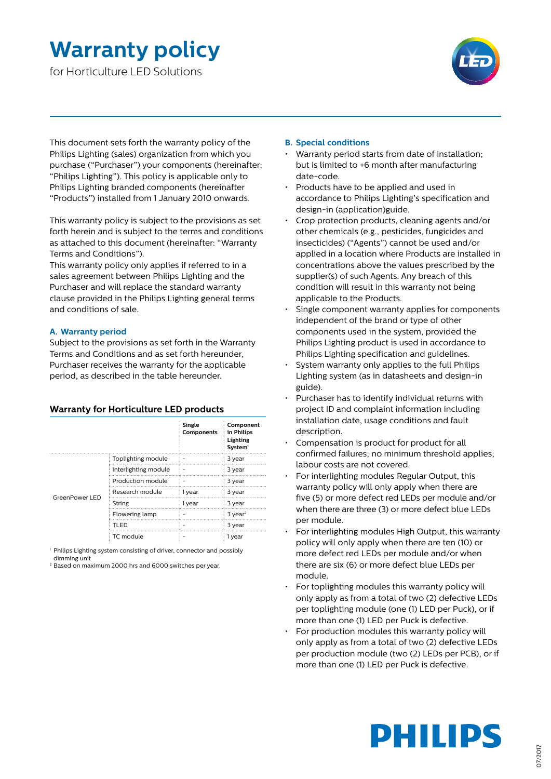### **Warranty policy**

for Horticulture LED Solutions



This document sets forth the warranty policy of the Philips Lighting (sales) organization from which you purchase ("Purchaser") your components (hereinafter: "Philips Lighting"). This policy is applicable only to Philips Lighting branded components (hereinafter "Products") installed from 1 January 2010 onwards.

This warranty policy is subject to the provisions as set forth herein and is subject to the terms and conditions as attached to this document (hereinafter: "Warranty Terms and Conditions").

This warranty policy only applies if referred to in a sales agreement between Philips Lighting and the Purchaser and will replace the standard warranty clause provided in the Philips Lighting general terms and conditions of sale.

#### **A. Warranty period**

Subject to the provisions as set forth in the Warranty Terms and Conditions and as set forth hereunder, Purchaser receives the warranty for the applicable period, as described in the table hereunder.

#### **Warranty for Horticulture LED products**

|                |                      | <b>Single</b><br>Components | Component<br>in Philips<br>Lighting<br>System <sup>1</sup> |
|----------------|----------------------|-----------------------------|------------------------------------------------------------|
| GreenPower LED | Toplighting module   |                             | 3 year                                                     |
|                | Interlighting module |                             | 3 year                                                     |
|                | Production module    |                             | 3 year                                                     |
|                | Research module      | 1 year                      | 3 year                                                     |
|                | String               | 1 year                      | 3 year                                                     |
|                | Flowering lamp       |                             | $3$ year <sup>2</sup>                                      |
|                | TLED                 |                             | 3 year                                                     |
|                | TC module            |                             | 1 year                                                     |

1 Philips Lighting system consisting of driver, connector and possibly

dimming unit

<sup>2</sup> Based on maximum 2000 hrs and 6000 switches per year.

#### **B. Special conditions**

- Warranty period starts from date of installation; but is limited to +6 month after manufacturing date-code.
- Products have to be applied and used in accordance to Philips Lighting's specification and design-in (application)guide.
- Crop protection products, cleaning agents and/or other chemicals (e.g., pesticides, fungicides and insecticides) ("Agents") cannot be used and/or applied in a location where Products are installed in concentrations above the values prescribed by the supplier(s) of such Agents. Any breach of this condition will result in this warranty not being applicable to the Products.
- Single component warranty applies for components independent of the brand or type of other components used in the system, provided the Philips Lighting product is used in accordance to Philips Lighting specification and guidelines.
- System warranty only applies to the full Philips Lighting system (as in datasheets and design-in guide).
- Purchaser has to identify individual returns with project ID and complaint information including installation date, usage conditions and fault description.
- Compensation is product for product for all confirmed failures; no minimum threshold applies; labour costs are not covered.
- For interlighting modules Regular Output, this warranty policy will only apply when there are five (5) or more defect red LEDs per module and/or when there are three (3) or more defect blue LEDs per module.
- For interlighting modules High Output, this warranty policy will only apply when there are ten (10) or more defect red LEDs per module and/or when there are six (6) or more defect blue LEDs per module.
- For toplighting modules this warranty policy will only apply as from a total of two (2) defective LEDs per toplighting module (one (1) LED per Puck), or if more than one (1) LED per Puck is defective.
- For production modules this warranty policy will only apply as from a total of two (2) defective LEDs per production module (two (2) LEDs per PCB), or if more than one (1) LED per Puck is defective.

# **PHILIPS**